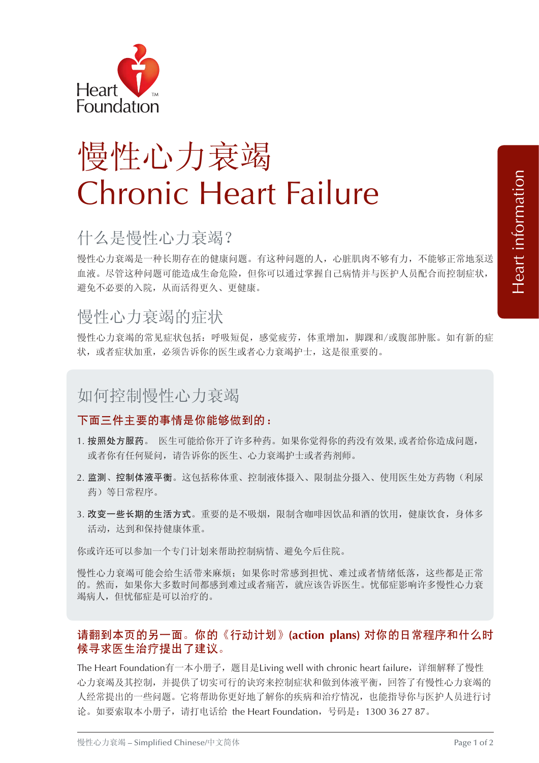

# 慢性心力衰竭 Chronic Heart Failure

## 什么是慢性心力衰竭?

慢性心力衰竭是一种长期存在的健康问题。有这种问题的人,心脏肌肉不够有力,不能够正常地泵送 血液。尽管这种问题可能造成生命危险,但你可以通过掌握自己病情并与医护人员配合而控制症状, 避免不必要的入院,从而活得更久、更健康。

### 慢性心力衰竭的症状

慢性心力衰竭的常见症状包括:呼吸短促,感觉疲劳,体重增加,脚踝和/或腹部肿胀。如有新的症 状,或者症状加重,必须告诉你的医生或者心力衰竭护士,这是很重要的。

## 如何控制慢性心力衰竭

#### 下面三件主要的事情是你能够做到的:

- 1. 按照处方服药。 医生可能给你开了许多种药。如果你觉得你的药没有效果, 或者给你造成问题, 或者你有任何疑问,请告诉你的医生、心力衰竭护士或者药剂师。
- 2. 监测、控制体液平衡。这包括称体重、控制液体摄入、限制盐分摄入、使用医生处方药物(利尿 药)等日常程序。
- 3. 改变一些长期的生活方式。重要的是不吸烟,限制含咖啡因饮品和酒的饮用,健康饮食,身体多 活动,达到和保持健康体重。

你或许还可以参加一个专门计划来帮助控制病情、避免今后住院。

慢性心力衰竭可能会给生活带来麻烦;如果你时常感到担忧、难过或者情绪低落,这些都是正常 的。然而,如果你大多数时间都感到难过或者痛苦,就应该告诉医生。忧郁症影响许多慢性心力衰 竭病人,但忧郁症是可以治疗的。

#### 请翻到本页的另一面。你的《行动计划》**(action plans)** 对你的日常程序和什么时 候寻求医生治疗提出了建议。

The Heart Foundation有一本小册子,题目是Living well with chronic heart failure,详细解释了慢性 心力衰竭及其控制,并提供了切实可行的诀窍来控制症状和做到体液平衡,回答了有慢性心力衰竭的 人经常提出的一些问题。它将帮助你更好地了解你的疾病和治疗情况,也能指导你与医护人员进行讨 论。如要索取本小册子,请打电话给 the Heart Foundation,号码是:1300 36 27 87。